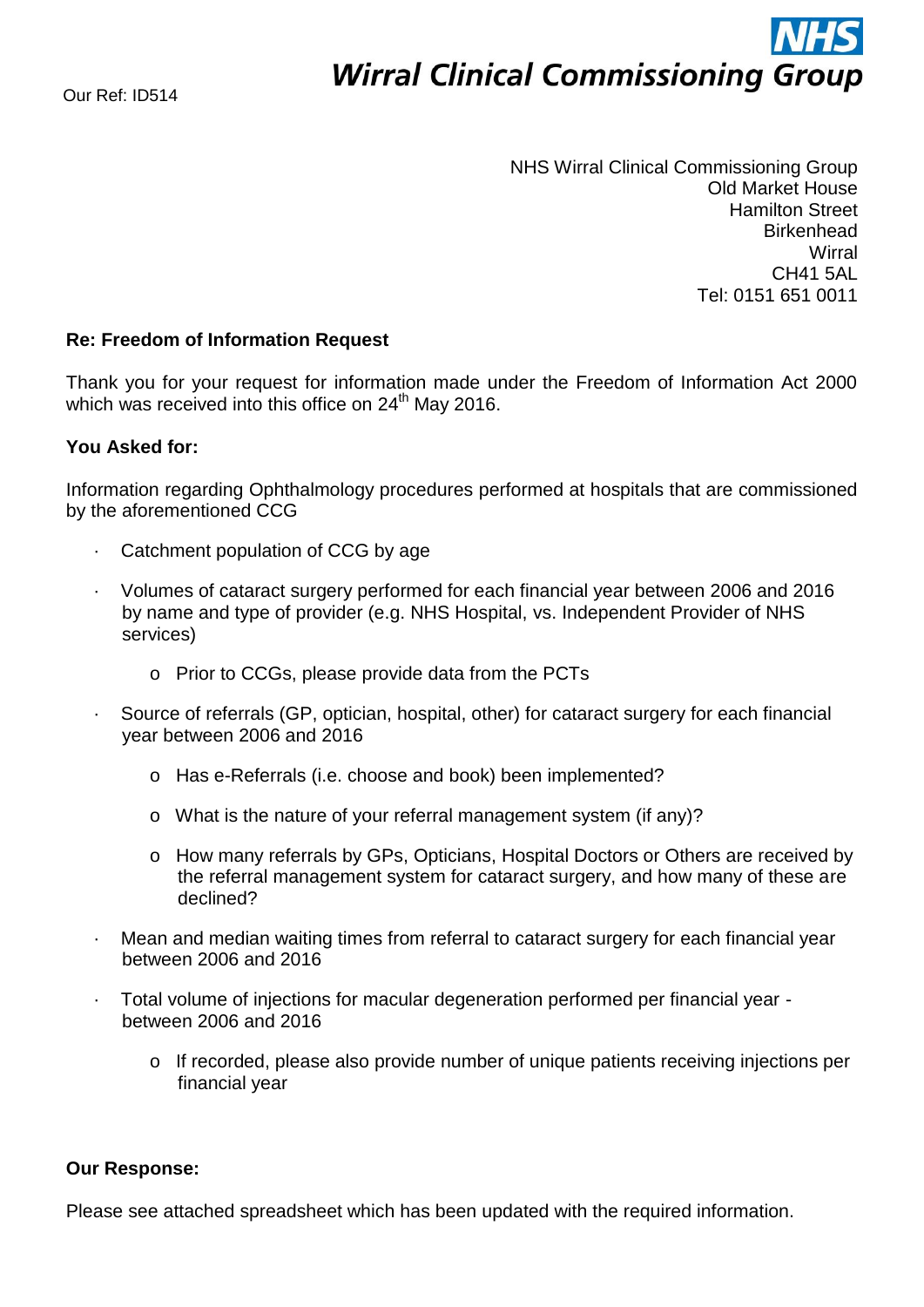# **Wirral Clinical Commissioning Group**

NHS Wirral Clinical Commissioning Group Old Market House Hamilton Street **Birkenhead Wirral** CH41 5AL Tel: 0151 651 0011

## **Re: Freedom of Information Request**

Thank you for your request for information made under the Freedom of Information Act 2000 which was received into this office on 24<sup>th</sup> May 2016.

## **You Asked for:**

Information regarding Ophthalmology procedures performed at hospitals that are commissioned by the aforementioned CCG

- Catchment population of CCG by age
- · Volumes of cataract surgery performed for each financial year between 2006 and 2016 by name and type of provider (e.g. NHS Hospital, vs. Independent Provider of NHS services)
	- o Prior to CCGs, please provide data from the PCTs
- Source of referrals (GP, optician, hospital, other) for cataract surgery for each financial year between 2006 and 2016
	- o Has e-Referrals (i.e. choose and book) been implemented?
	- o What is the nature of your referral management system (if any)?
	- o How many referrals by GPs, Opticians, Hospital Doctors or Others are received by the referral management system for cataract surgery, and how many of these are declined?
- Mean and median waiting times from referral to cataract surgery for each financial year between 2006 and 2016
- · Total volume of injections for macular degeneration performed per financial year between 2006 and 2016
	- o If recorded, please also provide number of unique patients receiving injections per financial year

### **Our Response:**

Please see attached spreadsheet which has been updated with the required information.